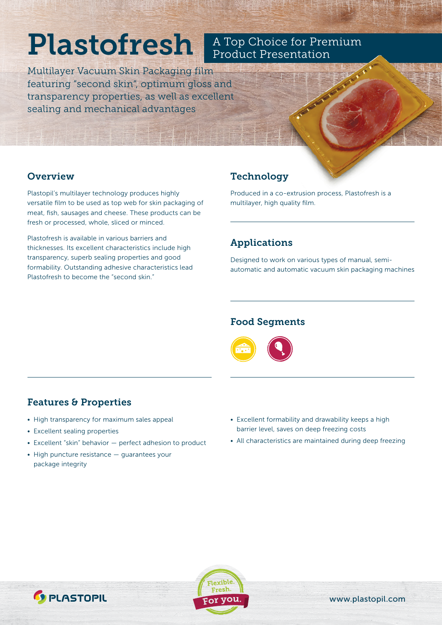# Plastofresh

Multilayer Vacuum Skin Packaging film featuring "second skin", optimum gloss and transparency properties, as well as excellent sealing and mechanical advantages

#### **Overview**

Plastopil's multilayer technology produces highly versatile film to be used as top web for skin packaging of meat, fish, sausages and cheese. These products can be fresh or processed, whole, sliced or minced.

Plastofresh is available in various barriers and thicknesses. Its excellent characteristics include high transparency, superb sealing properties and good formability. Outstanding adhesive characteristics lead Plastofresh to become the "second skin."

## Technology

Produced in a co-extrusion process, Plastofresh is a multilayer, high quality film.

A Top Choice for Premium

Product Presentation

## Applications

Designed to work on various types of manual, semiautomatic and automatic vacuum skin packaging machines

#### Food Segments

- High transparency for maximum sales appeal
- Excellent sealing properties

Features & Properties

- Excellent "skin" behavior perfect adhesion to product
- High puncture resistance guarantees your package integrity
- Excellent formability and drawability keeps a high barrier level, saves on deep freezing costs
- All characteristics are maintained during deep freezing